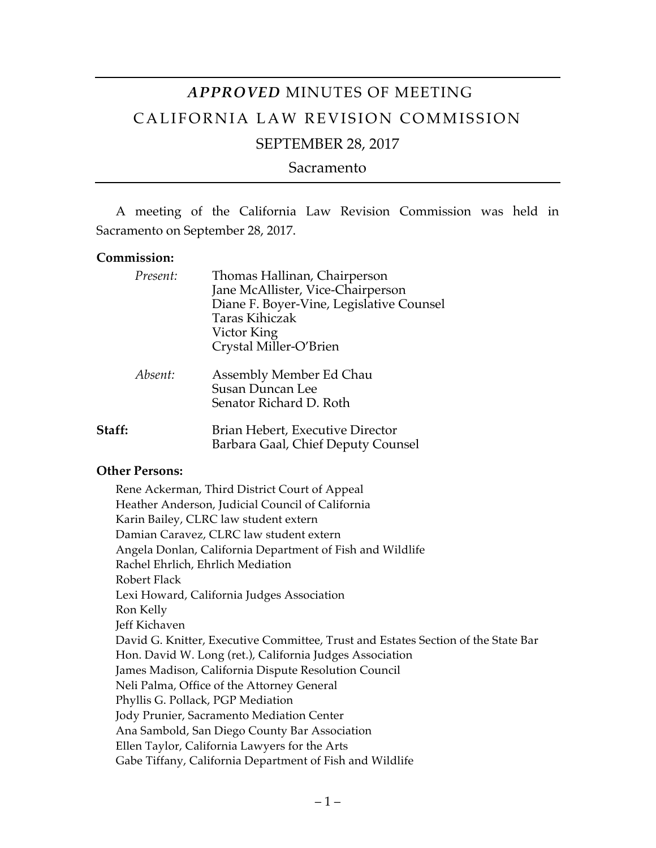# *APPROVED* MINUTES OF MEETING CALIFORNIA LAW REVISION COMMISSION

# SEPTEMBER 28, 2017

Sacramento

A meeting of the California Law Revision Commission was held in Sacramento on September 28, 2017.

#### **Commission:**

| Present: | Thomas Hallinan, Chairperson<br>Jane McAllister, Vice-Chairperson<br>Diane F. Boyer-Vine, Legislative Counsel<br>Taras Kihiczak<br>Victor King<br>Crystal Miller-O'Brien |
|----------|--------------------------------------------------------------------------------------------------------------------------------------------------------------------------|
| Absent:  | Assembly Member Ed Chau<br>Susan Duncan Lee<br>Senator Richard D. Roth                                                                                                   |
| Staff:   | Brian Hebert, Executive Director<br>Barbara Gaal, Chief Deputy Counsel                                                                                                   |

#### **Other Persons:**

Rene Ackerman, Third District Court of Appeal Heather Anderson, Judicial Council of California Karin Bailey, CLRC law student extern Damian Caravez, CLRC law student extern Angela Donlan, California Department of Fish and Wildlife Rachel Ehrlich, Ehrlich Mediation Robert Flack Lexi Howard, California Judges Association Ron Kelly Jeff Kichaven David G. Knitter, Executive Committee, Trust and Estates Section of the State Bar Hon. David W. Long (ret.), California Judges Association James Madison, California Dispute Resolution Council Neli Palma, Office of the Attorney General Phyllis G. Pollack, PGP Mediation Jody Prunier, Sacramento Mediation Center Ana Sambold, San Diego County Bar Association Ellen Taylor, California Lawyers for the Arts Gabe Tiffany, California Department of Fish and Wildlife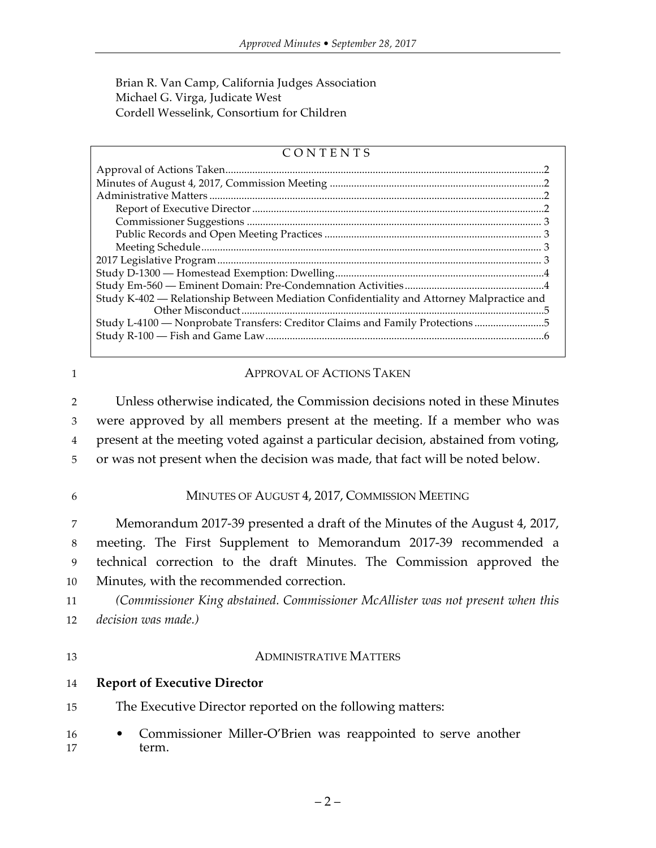Brian R. Van Camp, California Judges Association Michael G. Virga, Judicate West Cordell Wesselink, Consortium for Children

### CONTENTS

| Study K-402 - Relationship Between Mediation Confidentiality and Attorney Malpractice and |  |
|-------------------------------------------------------------------------------------------|--|
| Study L-4100 — Nonprobate Transfers: Creditor Claims and Family Protections 5             |  |
|                                                                                           |  |
|                                                                                           |  |

#### 1 **APPROVAL OF ACTIONS TAKEN**

 Unless otherwise indicated, the Commission decisions noted in these Minutes were approved by all members present at the meeting. If a member who was present at the meeting voted against a particular decision, abstained from voting, or was not present when the decision was made, that fact will be noted below.

#### 6 MINUTES OF AUGUST 4, 2017, COMMISSION MEETING

 Memorandum 2017-39 presented a draft of the Minutes of the August 4, 2017, meeting. The First Supplement to Memorandum 2017-39 recommended a technical correction to the draft Minutes. The Commission approved the Minutes, with the recommended correction.

11 *(Commissioner King abstained. Commissioner McAllister was not present when this*  12 *decision was made.)*

#### 13 ADMINISTRATIVE MATTERS

- 14 **Report of Executive Director**
- 15 The Executive Director reported on the following matters:
- 16 Commissioner Miller-O'Brien was reappointed to serve another 17 term.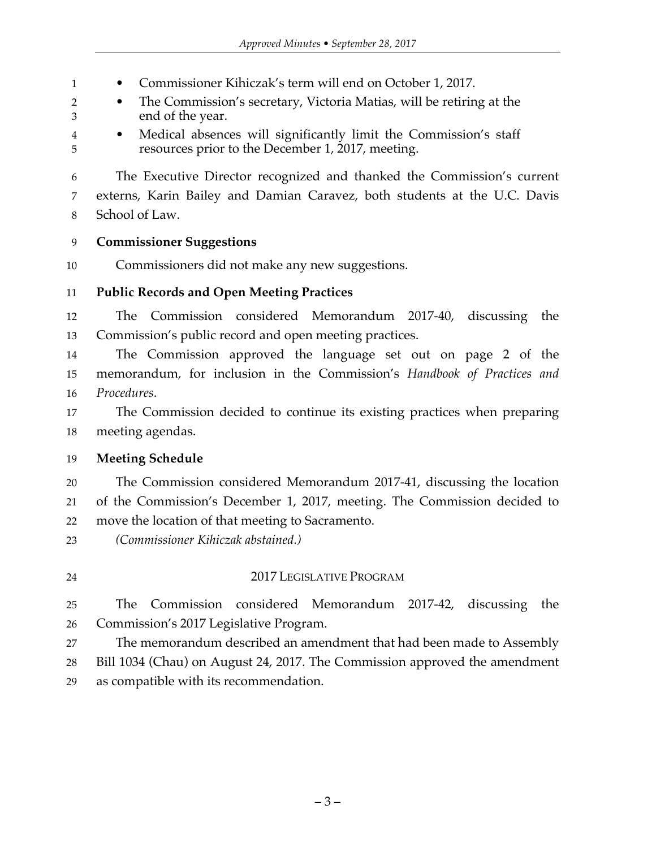1 • Commissioner Kihiczak's term will end on October 1, 2017.

 • The Commission's secretary, Victoria Matias, will be retiring at the end of the year.

 • Medical absences will significantly limit the Commission's staff resources prior to the December 1, 2017, meeting.

 The Executive Director recognized and thanked the Commission's current externs, Karin Bailey and Damian Caravez, both students at the U.C. Davis School of Law.

# **Commissioner Suggestions**

Commissioners did not make any new suggestions.

# **Public Records and Open Meeting Practices**

 The Commission considered Memorandum 2017-40, discussing the Commission's public record and open meeting practices.

 The Commission approved the language set out on page 2 of the memorandum, for inclusion in the Commission's *Handbook of Practices and Procedures*.

 The Commission decided to continue its existing practices when preparing meeting agendas.

# **Meeting Schedule**

 The Commission considered Memorandum 2017-41, discussing the location of the Commission's December 1, 2017, meeting. The Commission decided to move the location of that meeting to Sacramento.

*(Commissioner Kihiczak abstained.)*

# 2017 LEGISLATIVE PROGRAM

 The Commission considered Memorandum 2017-42, discussing the Commission's 2017 Legislative Program.

The memorandum described an amendment that had been made to Assembly

 Bill 1034 (Chau) on August 24, 2017. The Commission approved the amendment as compatible with its recommendation.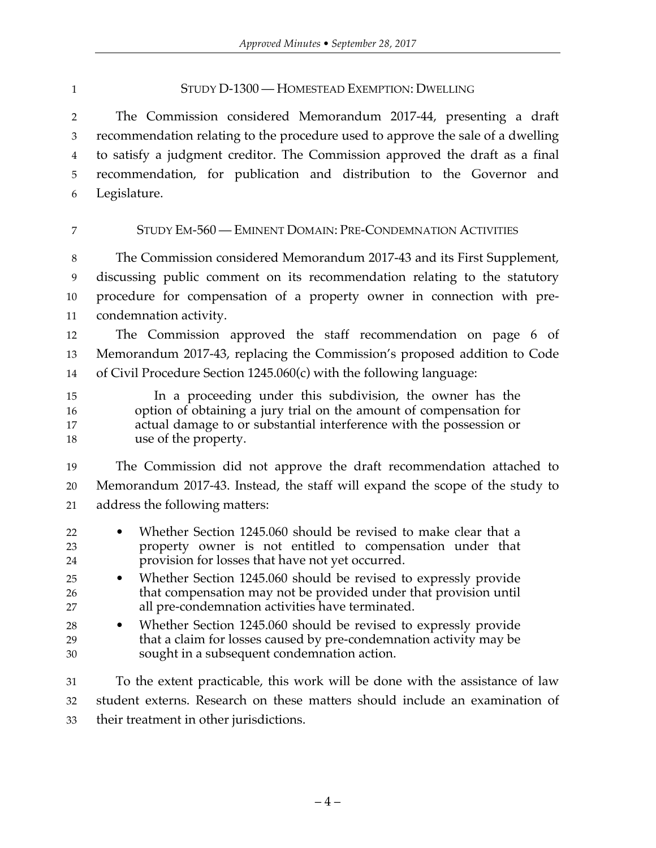#### STUDY D-1300 — HOMESTEAD EXEMPTION: DWELLING

 The Commission considered Memorandum 2017-44, presenting a draft recommendation relating to the procedure used to approve the sale of a dwelling to satisfy a judgment creditor. The Commission approved the draft as a final recommendation, for publication and distribution to the Governor and Legislature.

### STUDY EM-560 — EMINENT DOMAIN: PRE-CONDEMNATION ACTIVITIES

 The Commission considered Memorandum 2017-43 and its First Supplement, discussing public comment on its recommendation relating to the statutory procedure for compensation of a property owner in connection with pre-condemnation activity.

 The Commission approved the staff recommendation on page 6 of Memorandum 2017-43, replacing the Commission's proposed addition to Code of Civil Procedure Section 1245.060(c) with the following language:

 In a proceeding under this subdivision, the owner has the option of obtaining a jury trial on the amount of compensation for actual damage to or substantial interference with the possession or use of the property.

 The Commission did not approve the draft recommendation attached to Memorandum 2017-43. Instead, the staff will expand the scope of the study to address the following matters:

- Whether Section 1245.060 should be revised to make clear that a property owner is not entitled to compensation under that provision for losses that have not yet occurred.
- Whether Section 1245.060 should be revised to expressly provide that compensation may not be provided under that provision until all pre-condemnation activities have terminated.
- Whether Section 1245.060 should be revised to expressly provide that a claim for losses caused by pre-condemnation activity may be sought in a subsequent condemnation action.

 To the extent practicable, this work will be done with the assistance of law student externs. Research on these matters should include an examination of their treatment in other jurisdictions.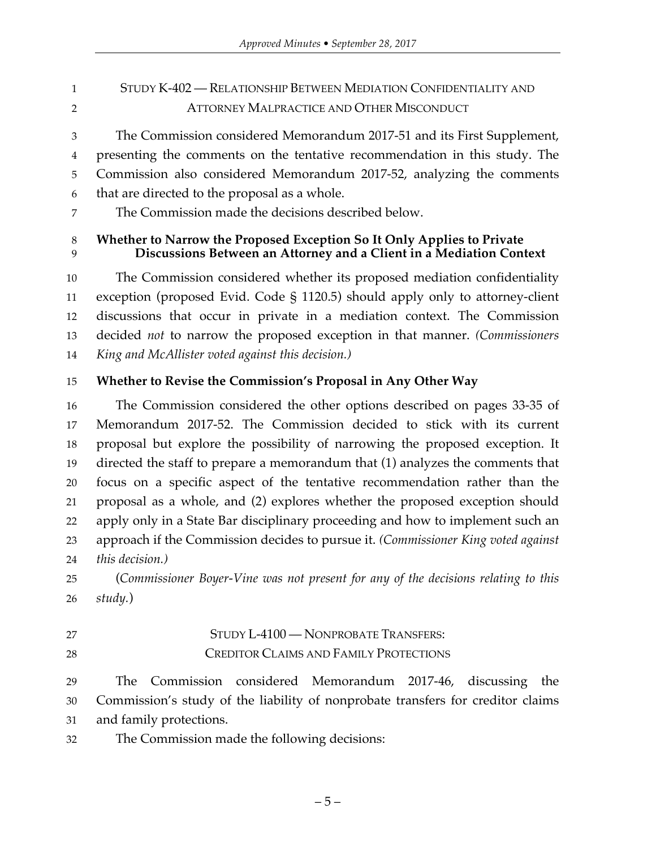- STUDY K-402 RELATIONSHIP BETWEEN MEDIATION CONFIDENTIALITY AND ATTORNEY MALPRACTICE AND OTHER MISCONDUCT
- The Commission considered Memorandum 2017-51 and its First Supplement, presenting the comments on the tentative recommendation in this study. The Commission also considered Memorandum 2017-52, analyzing the comments that are directed to the proposal as a whole.
- The Commission made the decisions described below.

# **Whether to Narrow the Proposed Exception So It Only Applies to Private Discussions Between an Attorney and a Client in a Mediation Context**

 The Commission considered whether its proposed mediation confidentiality exception (proposed Evid. Code § 1120.5) should apply only to attorney-client discussions that occur in private in a mediation context. The Commission decided *not* to narrow the proposed exception in that manner. *(Commissioners King and McAllister voted against this decision.)*

# **Whether to Revise the Commission's Proposal in Any Other Way**

 The Commission considered the other options described on pages 33-35 of Memorandum 2017-52. The Commission decided to stick with its current proposal but explore the possibility of narrowing the proposed exception. It directed the staff to prepare a memorandum that (1) analyzes the comments that focus on a specific aspect of the tentative recommendation rather than the proposal as a whole, and (2) explores whether the proposed exception should apply only in a State Bar disciplinary proceeding and how to implement such an approach if the Commission decides to pursue it. *(Commissioner King voted against this decision.)*

 (*Commissioner Boyer-Vine was not present for any of the decisions relating to this study.*)

# 27 STUDY L-4100 — NONPROBATE TRANSFERS: CREDITOR CLAIMS AND FAMILY PROTECTIONS

 The Commission considered Memorandum 2017-46, discussing the Commission's study of the liability of nonprobate transfers for creditor claims and family protections.

The Commission made the following decisions: